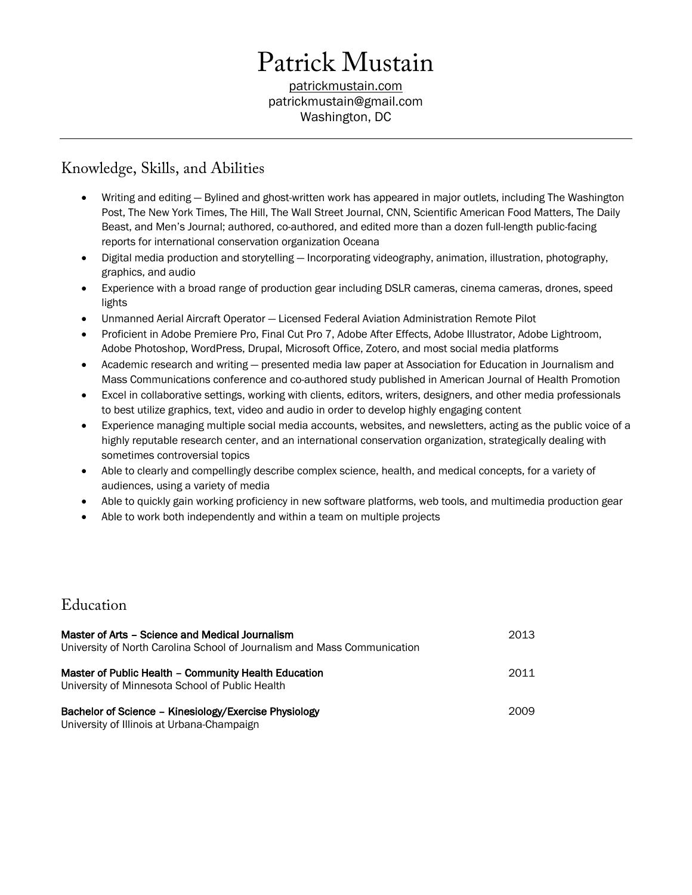# Patrick Mustain

patrickmustain.com patrickmustain@gmail.com Washington, DC

# Knowledge, Skills, and Abilities

- Writing and editing Bylined and ghost-written work has appeared in major outlets, including The Washington Post, The New York Times, The Hill, The Wall Street Journal, CNN, Scientific American Food Matters, The Daily Beast, and Men's Journal; authored, co-authored, and edited more than a dozen full-length public-facing reports for international conservation organization Oceana
- Digital media production and storytelling Incorporating videography, animation, illustration, photography, graphics, and audio
- Experience with a broad range of production gear including DSLR cameras, cinema cameras, drones, speed lights
- Unmanned Aerial Aircraft Operator Licensed Federal Aviation Administration Remote Pilot
- Proficient in Adobe Premiere Pro, Final Cut Pro 7, Adobe After Effects, Adobe Illustrator, Adobe Lightroom, Adobe Photoshop, WordPress, Drupal, Microsoft Office, Zotero, and most social media platforms
- Academic research and writing presented media law paper at Association for Education in Journalism and Mass Communications conference and co-authored study published in American Journal of Health Promotion
- Excel in collaborative settings, working with clients, editors, writers, designers, and other media professionals to best utilize graphics, text, video and audio in order to develop highly engaging content
- Experience managing multiple social media accounts, websites, and newsletters, acting as the public voice of a highly reputable research center, and an international conservation organization, strategically dealing with sometimes controversial topics
- Able to clearly and compellingly describe complex science, health, and medical concepts, for a variety of audiences, using a variety of media
- Able to quickly gain working proficiency in new software platforms, web tools, and multimedia production gear
- Able to work both independently and within a team on multiple projects

# Education

| Master of Arts - Science and Medical Journalism<br>University of North Carolina School of Journalism and Mass Communication | 2013 |
|-----------------------------------------------------------------------------------------------------------------------------|------|
| Master of Public Health - Community Health Education<br>University of Minnesota School of Public Health                     | 2011 |
| Bachelor of Science - Kinesiology/Exercise Physiology<br>University of Illinois at Urbana-Champaign                         | 2009 |